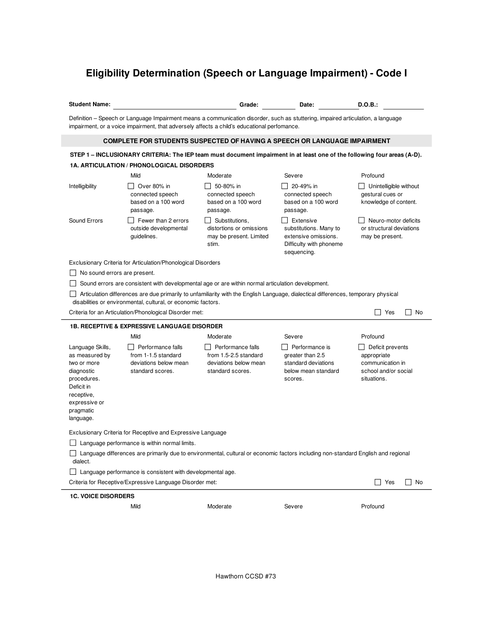## **Eligibility Determination (Speech or Language Impairment) - Code I**

**Student Name: Calculation Contract Contract Contract Contract Contract Contract Contract Contract Contract Contract Contract Contract Contract Contract Contract Contract Contract Contract Contract Contract Contract Cont** 

Definition – Speech or Language Impairment means a communication disorder, such as stuttering, impaired articulation, a language impairment, or a voice impairment, that adversely affects a child's educational perfomance.

## **COMPLETE FOR STUDENTS SUSPECTED OF HAVING A SPEECH OR LANGUAGE IMPAIRMENT**

## STEP 1 - INCLUSIONARY CRITERIA: The IEP team must document impairment in at least one of the following four areas (A-D). **1A. ARTICULATION / PHONOLOGICAL DISORDERS**

|                                                                                                                                                                                                     | Mild                                                                                  | Moderate                                                                                | Severe                                                                                                | Profound                                                                                   |  |  |  |
|-----------------------------------------------------------------------------------------------------------------------------------------------------------------------------------------------------|---------------------------------------------------------------------------------------|-----------------------------------------------------------------------------------------|-------------------------------------------------------------------------------------------------------|--------------------------------------------------------------------------------------------|--|--|--|
| Intelligibility                                                                                                                                                                                     | Over 80% in<br>connected speech<br>based on a 100 word<br>passage.                    | 50-80% in<br>connected speech<br>based on a 100 word<br>passage.                        | 20-49% in<br>connected speech<br>based on a 100 word<br>passage.                                      | Unintelligible without<br>gestural cues or<br>knowledge of content.                        |  |  |  |
| Sound Errors                                                                                                                                                                                        | Fewer than 2 errors<br>outside developmental<br>guidelines.                           | Substitutions.<br>distortions or omissions<br>may be present. Limited<br>stim.          | Extensive<br>substitutions. Many to<br>extensive omissions.<br>Difficulty with phoneme<br>sequencing. | Neuro-motor deficits<br>or structural deviations<br>may be present.                        |  |  |  |
| Exclusionary Criteria for Articulation/Phonological Disorders                                                                                                                                       |                                                                                       |                                                                                         |                                                                                                       |                                                                                            |  |  |  |
| No sound errors are present.                                                                                                                                                                        |                                                                                       |                                                                                         |                                                                                                       |                                                                                            |  |  |  |
| Sound errors are consistent with developmental age or are within normal articulation development.                                                                                                   |                                                                                       |                                                                                         |                                                                                                       |                                                                                            |  |  |  |
| Articulation differences are due primarily to unfamiliarity with the English Language, dialectical differences, temporary physical<br>disabilities or environmental, cultural, or economic factors. |                                                                                       |                                                                                         |                                                                                                       |                                                                                            |  |  |  |
|                                                                                                                                                                                                     | Criteria for an Articulation/Phonological Disorder met:                               |                                                                                         |                                                                                                       | $\blacksquare$<br>Yes<br>No                                                                |  |  |  |
| <b>1B. RECEPTIVE &amp; EXPRESSIVE LANGUAGE DISORDER</b>                                                                                                                                             |                                                                                       |                                                                                         |                                                                                                       |                                                                                            |  |  |  |
|                                                                                                                                                                                                     | Mild                                                                                  | Moderate                                                                                | Severe                                                                                                | Profound                                                                                   |  |  |  |
| Language Skills,<br>as measured by<br>two or more<br>diagnostic<br>procedures.<br>Deficit in<br>receptive,<br>expressive or<br>pragmatic<br>language.                                               | Performance falls<br>from 1-1.5 standard<br>deviations below mean<br>standard scores. | Performance falls<br>from 1.5-2.5 standard<br>deviations below mean<br>standard scores. | Performance is<br>greater than 2.5<br>standard deviations<br>below mean standard<br>scores.           | Deficit prevents<br>appropriate<br>communication in<br>school and/or social<br>situations. |  |  |  |
| Exclusionary Criteria for Receptive and Expressive Language                                                                                                                                         |                                                                                       |                                                                                         |                                                                                                       |                                                                                            |  |  |  |
| Language performance is within normal limits.                                                                                                                                                       |                                                                                       |                                                                                         |                                                                                                       |                                                                                            |  |  |  |
| Language differences are primarily due to environmental, cultural or economic factors including non-standard English and regional<br>dialect.                                                       |                                                                                       |                                                                                         |                                                                                                       |                                                                                            |  |  |  |
| Language performance is consistent with developmental age.                                                                                                                                          |                                                                                       |                                                                                         |                                                                                                       |                                                                                            |  |  |  |
| Criteria for Receptive/Expressive Language Disorder met:<br>Yes<br>No                                                                                                                               |                                                                                       |                                                                                         |                                                                                                       |                                                                                            |  |  |  |
| <b>1C. VOICE DISORDERS</b>                                                                                                                                                                          |                                                                                       |                                                                                         |                                                                                                       |                                                                                            |  |  |  |
|                                                                                                                                                                                                     | Mild                                                                                  | Moderate                                                                                | Severe                                                                                                | Profound                                                                                   |  |  |  |